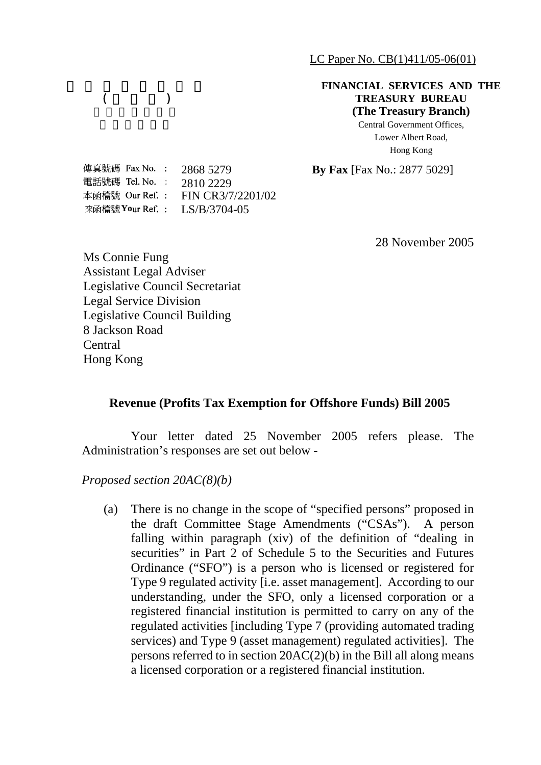LC Paper No. CB(1)411/05-06(01)

## **FINANCIAL SERVICES AND THE TREASURY BUREAU (The Treasury Branch)**

Central Government Offices, Lower Albert Road, Hong Kong

2868 5279 **By Fax** [Fax No.: 2877 5029]

傳真號碼 Fax No. : 電話號碼 Tel.No. : 2810 2229 本函檔號 Our Ref.: FIN CR3/7/2201/02 來函檔號 Your Ref. : LS/B/3704-05

 $($   $)$ 

28 November 2005

Ms Connie Fung Assistant Legal Adviser Legislative Council Secretariat Legal Service Division Legislative Council Building 8 Jackson Road Central Hong Kong

## **Revenue (Profits Tax Exemption for Offshore Funds) Bill 2005**

Your letter dated 25 November 2005 refers please. The Administration's responses are set out below -

*Proposed section 20AC(8)(b)* 

(a) There is no change in the scope of "specified persons" proposed in the draft Committee Stage Amendments ("CSAs"). A person falling within paragraph (xiv) of the definition of "dealing in securities" in Part 2 of Schedule 5 to the Securities and Futures Ordinance ("SFO") is a person who is licensed or registered for Type 9 regulated activity [i.e. asset management]. According to our understanding, under the SFO, only a licensed corporation or a registered financial institution is permitted to carry on any of the regulated activities [including Type 7 (providing automated trading services) and Type 9 (asset management) regulated activities]. The persons referred to in section 20AC(2)(b) in the Bill all along means a licensed corporation or a registered financial institution.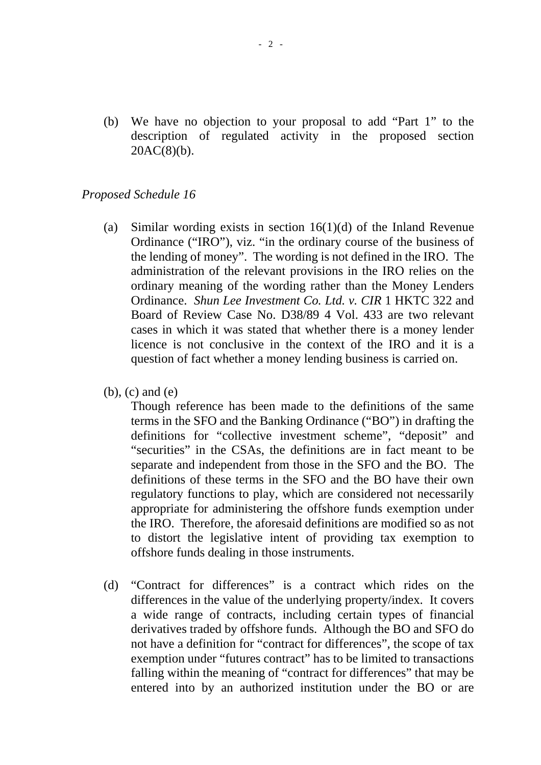(b) We have no objection to your proposal to add "Part 1" to the description of regulated activity in the proposed section  $20AC(8)(b)$ .

## *Proposed Schedule 16*

- (a) Similar wording exists in section 16(1)(d) of the Inland Revenue Ordinance ("IRO"), viz. "in the ordinary course of the business of the lending of money". The wording is not defined in the IRO. The administration of the relevant provisions in the IRO relies on the ordinary meaning of the wording rather than the Money Lenders Ordinance. *Shun Lee Investment Co. Ltd. v. CIR* 1 HKTC 322 and Board of Review Case No. D38/89 4 Vol. 433 are two relevant cases in which it was stated that whether there is a money lender licence is not conclusive in the context of the IRO and it is a question of fact whether a money lending business is carried on.
- (b), (c) and (e)

 Though reference has been made to the definitions of the same terms in the SFO and the Banking Ordinance ("BO") in drafting the definitions for "collective investment scheme", "deposit" and "securities" in the CSAs, the definitions are in fact meant to be separate and independent from those in the SFO and the BO. The definitions of these terms in the SFO and the BO have their own regulatory functions to play, which are considered not necessarily appropriate for administering the offshore funds exemption under the IRO. Therefore, the aforesaid definitions are modified so as not to distort the legislative intent of providing tax exemption to offshore funds dealing in those instruments.

(d) "Contract for differences" is a contract which rides on the differences in the value of the underlying property/index. It covers a wide range of contracts, including certain types of financial derivatives traded by offshore funds. Although the BO and SFO do not have a definition for "contract for differences", the scope of tax exemption under "futures contract" has to be limited to transactions falling within the meaning of "contract for differences" that may be entered into by an authorized institution under the BO or are